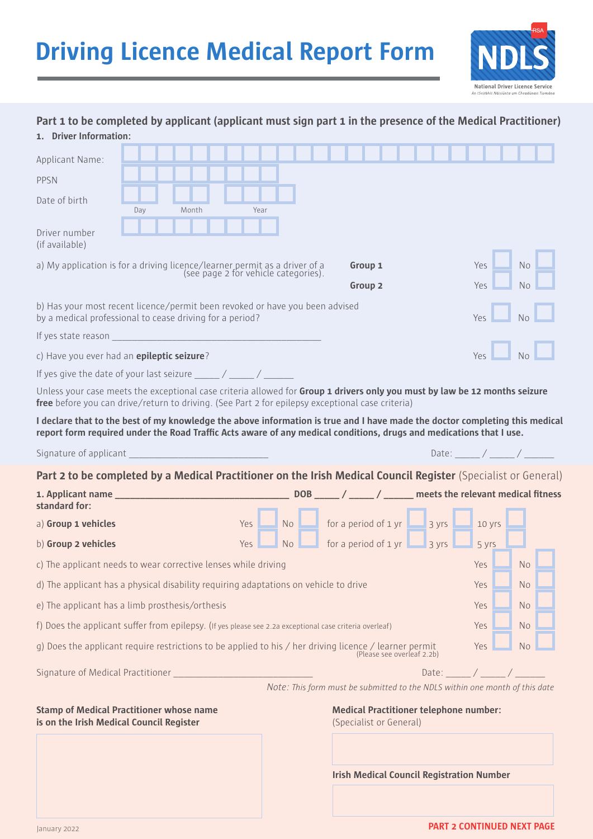

| Part 1 to be completed by applicant (applicant must sign part 1 in the presence of the Medical Practitioner)                                                                                                                                       |     |       |  |      |                                                                                                  |     |                                                 |                                               |                            |  |                  |           |      |                |  |
|----------------------------------------------------------------------------------------------------------------------------------------------------------------------------------------------------------------------------------------------------|-----|-------|--|------|--------------------------------------------------------------------------------------------------|-----|-------------------------------------------------|-----------------------------------------------|----------------------------|--|------------------|-----------|------|----------------|--|
| 1. Driver Information:                                                                                                                                                                                                                             |     |       |  |      |                                                                                                  |     |                                                 |                                               |                            |  |                  |           |      |                |  |
| Applicant Name:                                                                                                                                                                                                                                    |     |       |  |      |                                                                                                  |     |                                                 |                                               |                            |  |                  |           |      |                |  |
| PPSN                                                                                                                                                                                                                                               |     |       |  |      |                                                                                                  |     |                                                 |                                               |                            |  |                  |           |      |                |  |
| Date of birth                                                                                                                                                                                                                                      | Day | Month |  | Year |                                                                                                  |     |                                                 |                                               |                            |  |                  |           |      |                |  |
| Driver number<br>(if available)                                                                                                                                                                                                                    |     |       |  |      |                                                                                                  |     |                                                 |                                               |                            |  |                  |           |      |                |  |
| a) My application is for a driving licence/learner permit as a driver of a<br>(see page 2 for vehicle categories).                                                                                                                                 |     |       |  |      |                                                                                                  |     |                                                 | Group 1                                       |                            |  |                  |           | Yes  | <b>No</b>      |  |
|                                                                                                                                                                                                                                                    |     |       |  |      |                                                                                                  |     |                                                 | Group 2                                       |                            |  |                  |           | Yes. | N <sub>o</sub> |  |
| b) Has your most recent licence/permit been revoked or have you been advised<br>by a medical professional to cease driving for a period?                                                                                                           |     |       |  |      |                                                                                                  |     |                                                 | Yes                                           | No                         |  |                  |           |      |                |  |
|                                                                                                                                                                                                                                                    |     |       |  |      |                                                                                                  |     |                                                 |                                               |                            |  |                  |           |      |                |  |
| c) Have you ever had an <b>epileptic seizure</b> ?                                                                                                                                                                                                 |     |       |  |      |                                                                                                  |     | Yes                                             | N <sub>0</sub>                                |                            |  |                  |           |      |                |  |
|                                                                                                                                                                                                                                                    |     |       |  |      |                                                                                                  |     |                                                 |                                               |                            |  |                  |           |      |                |  |
| Unless your case meets the exceptional case criteria allowed for Group 1 drivers only you must by law be 12 months seizure<br>free before you can drive/return to driving. (See Part 2 for epilepsy exceptional case criteria)                     |     |       |  |      |                                                                                                  |     |                                                 |                                               |                            |  |                  |           |      |                |  |
| I declare that to the best of my knowledge the above information is true and I have made the doctor completing this medical<br>report form required under the Road Traffic Acts aware of any medical conditions, drugs and medications that I use. |     |       |  |      |                                                                                                  |     |                                                 |                                               |                            |  |                  |           |      |                |  |
| Signature of applicant and the control of the control of the control of the control of the control of the control of the control of the control of the control of the control of the control of the control of the control of                      |     |       |  |      |                                                                                                  |     |                                                 |                                               |                            |  | Date: $/$ /      |           |      |                |  |
| Part 2 to be completed by a Medical Practitioner on the Irish Medical Council Register (Specialist or General)                                                                                                                                     |     |       |  |      |                                                                                                  |     |                                                 |                                               |                            |  |                  |           |      |                |  |
| standard for:                                                                                                                                                                                                                                      |     |       |  |      |                                                                                                  |     |                                                 |                                               |                            |  |                  |           |      |                |  |
| a) Group 1 vehicles                                                                                                                                                                                                                                |     |       |  | Yes  | $\blacksquare$ No $\blacksquare$ for a period of 1 yr $\blacksquare$ 3 yrs $\blacksquare$ 10 yrs |     |                                                 |                                               |                            |  |                  |           |      |                |  |
| b) Group 2 vehicles                                                                                                                                                                                                                                |     |       |  | Yes  | No                                                                                               |     | $\Box$ for a period of 1 yr $\Box$ 3 yrs $\Box$ |                                               |                            |  |                  | $-$ 5 yrs |      |                |  |
| c) The applicant needs to wear corrective lenses while driving<br>Yes<br>No.                                                                                                                                                                       |     |       |  |      |                                                                                                  |     |                                                 |                                               |                            |  |                  |           |      |                |  |
| d) The applicant has a physical disability requiring adaptations on vehicle to drive<br>Yes                                                                                                                                                        |     |       |  |      |                                                                                                  | No. |                                                 |                                               |                            |  |                  |           |      |                |  |
| e) The applicant has a limb prosthesis/orthesis                                                                                                                                                                                                    |     |       |  |      |                                                                                                  |     | Yes                                             | N <sub>o</sub>                                |                            |  |                  |           |      |                |  |
| f) Does the applicant suffer from epilepsy. (If yes please see 2.2a exceptional case criteria overleaf)                                                                                                                                            |     |       |  |      |                                                                                                  |     | Yes                                             | No.                                           |                            |  |                  |           |      |                |  |
| g) Does the applicant require restrictions to be applied to his / her driving licence / learner permit                                                                                                                                             |     |       |  |      |                                                                                                  |     |                                                 |                                               | (Please see overleaf 2.2b) |  |                  |           | Yes  | <b>No</b>      |  |
| Signature of Medical Practitioner _                                                                                                                                                                                                                |     |       |  |      |                                                                                                  |     |                                                 |                                               |                            |  | Date: $\sqrt{ }$ |           |      |                |  |
|                                                                                                                                                                                                                                                    |     |       |  |      | Note: This form must be submitted to the NDLS within one month of this date                      |     |                                                 |                                               |                            |  |                  |           |      |                |  |
| <b>Stamp of Medical Practitioner whose name</b>                                                                                                                                                                                                    |     |       |  |      |                                                                                                  |     |                                                 | <b>Medical Practitioner telephone number:</b> |                            |  |                  |           |      |                |  |

**is on the Irish Medical Council Register** 

| <b>Medical Practitioner telephone number:</b> |  |
|-----------------------------------------------|--|
| (Specialist or General)                       |  |

**Irish Medical Council Registration Number**